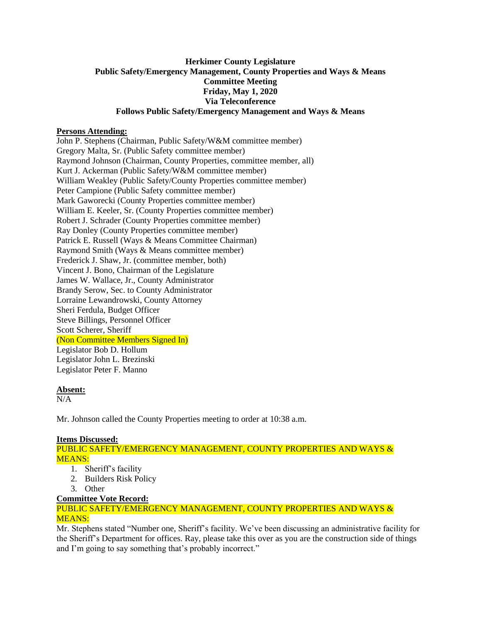## **Herkimer County Legislature Public Safety/Emergency Management, County Properties and Ways & Means Committee Meeting Friday, May 1, 2020 Via Teleconference Follows Public Safety/Emergency Management and Ways & Means**

## **Persons Attending:**

John P. Stephens (Chairman, Public Safety/W&M committee member) Gregory Malta, Sr. (Public Safety committee member) Raymond Johnson (Chairman, County Properties, committee member, all) Kurt J. Ackerman (Public Safety/W&M committee member) William Weakley (Public Safety/County Properties committee member) Peter Campione (Public Safety committee member) Mark Gaworecki (County Properties committee member) William E. Keeler, Sr. (County Properties committee member) Robert J. Schrader (County Properties committee member) Ray Donley (County Properties committee member) Patrick E. Russell (Ways & Means Committee Chairman) Raymond Smith (Ways & Means committee member) Frederick J. Shaw, Jr. (committee member, both) Vincent J. Bono, Chairman of the Legislature James W. Wallace, Jr., County Administrator Brandy Serow, Sec. to County Administrator Lorraine Lewandrowski, County Attorney Sheri Ferdula, Budget Officer Steve Billings, Personnel Officer Scott Scherer, Sheriff (Non Committee Members Signed In) Legislator Bob D. Hollum Legislator John L. Brezinski Legislator Peter F. Manno

# **Absent:**

N/A

Mr. Johnson called the County Properties meeting to order at 10:38 a.m.

### **Items Discussed:**

PUBLIC SAFETY/EMERGENCY MANAGEMENT, COUNTY PROPERTIES AND WAYS & MEANS:

- 1. Sheriff's facility
- 2. Builders Risk Policy
- 3. Other

### **Committee Vote Record:**

PUBLIC SAFETY/EMERGENCY MANAGEMENT, COUNTY PROPERTIES AND WAYS & MEANS:

Mr. Stephens stated "Number one, Sheriff's facility. We've been discussing an administrative facility for the Sheriff's Department for offices. Ray, please take this over as you are the construction side of things and I'm going to say something that's probably incorrect."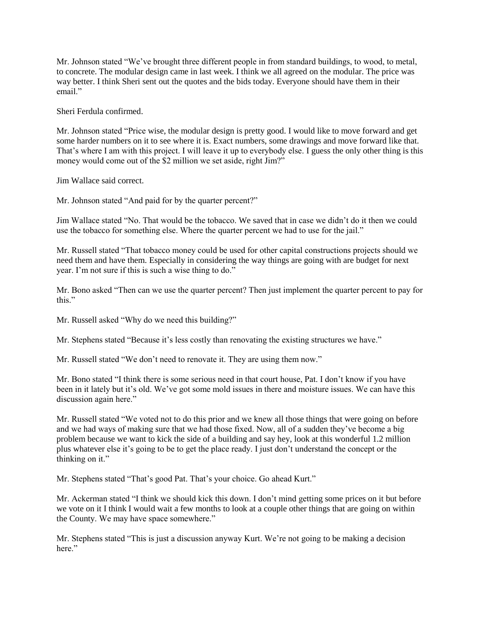Mr. Johnson stated "We've brought three different people in from standard buildings, to wood, to metal, to concrete. The modular design came in last week. I think we all agreed on the modular. The price was way better. I think Sheri sent out the quotes and the bids today. Everyone should have them in their email."

Sheri Ferdula confirmed.

Mr. Johnson stated "Price wise, the modular design is pretty good. I would like to move forward and get some harder numbers on it to see where it is. Exact numbers, some drawings and move forward like that. That's where I am with this project. I will leave it up to everybody else. I guess the only other thing is this money would come out of the \$2 million we set aside, right Jim?"

Jim Wallace said correct.

Mr. Johnson stated "And paid for by the quarter percent?"

Jim Wallace stated "No. That would be the tobacco. We saved that in case we didn't do it then we could use the tobacco for something else. Where the quarter percent we had to use for the jail."

Mr. Russell stated "That tobacco money could be used for other capital constructions projects should we need them and have them. Especially in considering the way things are going with are budget for next year. I'm not sure if this is such a wise thing to do."

Mr. Bono asked "Then can we use the quarter percent? Then just implement the quarter percent to pay for this."

Mr. Russell asked "Why do we need this building?"

Mr. Stephens stated "Because it's less costly than renovating the existing structures we have."

Mr. Russell stated "We don't need to renovate it. They are using them now."

Mr. Bono stated "I think there is some serious need in that court house, Pat. I don't know if you have been in it lately but it's old. We've got some mold issues in there and moisture issues. We can have this discussion again here."

Mr. Russell stated "We voted not to do this prior and we knew all those things that were going on before and we had ways of making sure that we had those fixed. Now, all of a sudden they've become a big problem because we want to kick the side of a building and say hey, look at this wonderful 1.2 million plus whatever else it's going to be to get the place ready. I just don't understand the concept or the thinking on it."

Mr. Stephens stated "That's good Pat. That's your choice. Go ahead Kurt."

Mr. Ackerman stated "I think we should kick this down. I don't mind getting some prices on it but before we vote on it I think I would wait a few months to look at a couple other things that are going on within the County. We may have space somewhere."

Mr. Stephens stated "This is just a discussion anyway Kurt. We're not going to be making a decision here."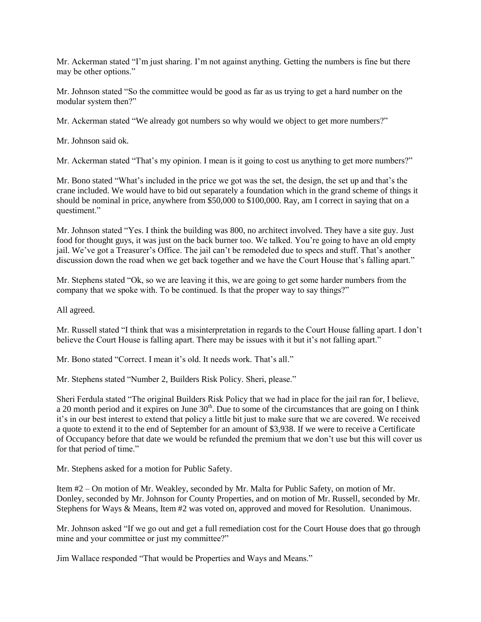Mr. Ackerman stated "I'm just sharing. I'm not against anything. Getting the numbers is fine but there may be other options."

Mr. Johnson stated "So the committee would be good as far as us trying to get a hard number on the modular system then?"

Mr. Ackerman stated "We already got numbers so why would we object to get more numbers?"

Mr. Johnson said ok.

Mr. Ackerman stated "That's my opinion. I mean is it going to cost us anything to get more numbers?"

Mr. Bono stated "What's included in the price we got was the set, the design, the set up and that's the crane included. We would have to bid out separately a foundation which in the grand scheme of things it should be nominal in price, anywhere from \$50,000 to \$100,000. Ray, am I correct in saying that on a questiment."

Mr. Johnson stated "Yes. I think the building was 800, no architect involved. They have a site guy. Just food for thought guys, it was just on the back burner too. We talked. You're going to have an old empty jail. We've got a Treasurer's Office. The jail can't be remodeled due to specs and stuff. That's another discussion down the road when we get back together and we have the Court House that's falling apart."

Mr. Stephens stated "Ok, so we are leaving it this, we are going to get some harder numbers from the company that we spoke with. To be continued. Is that the proper way to say things?"

All agreed.

Mr. Russell stated "I think that was a misinterpretation in regards to the Court House falling apart. I don't believe the Court House is falling apart. There may be issues with it but it's not falling apart."

Mr. Bono stated "Correct. I mean it's old. It needs work. That's all."

Mr. Stephens stated "Number 2, Builders Risk Policy. Sheri, please."

Sheri Ferdula stated "The original Builders Risk Policy that we had in place for the jail ran for, I believe, a 20 month period and it expires on June  $30<sup>th</sup>$ . Due to some of the circumstances that are going on I think it's in our best interest to extend that policy a little bit just to make sure that we are covered. We received a quote to extend it to the end of September for an amount of \$3,938. If we were to receive a Certificate of Occupancy before that date we would be refunded the premium that we don't use but this will cover us for that period of time."

Mr. Stephens asked for a motion for Public Safety.

Item #2 – On motion of Mr. Weakley, seconded by Mr. Malta for Public Safety, on motion of Mr. Donley, seconded by Mr. Johnson for County Properties, and on motion of Mr. Russell, seconded by Mr. Stephens for Ways & Means, Item #2 was voted on, approved and moved for Resolution. Unanimous.

Mr. Johnson asked "If we go out and get a full remediation cost for the Court House does that go through mine and your committee or just my committee?"

Jim Wallace responded "That would be Properties and Ways and Means."